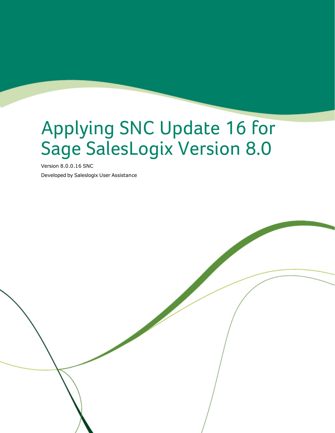# Applying SNC Update 16 for Sage SalesLogix Version 8.0

Version 8.0.0.16 SNC

Developed by Saleslogix User Assistance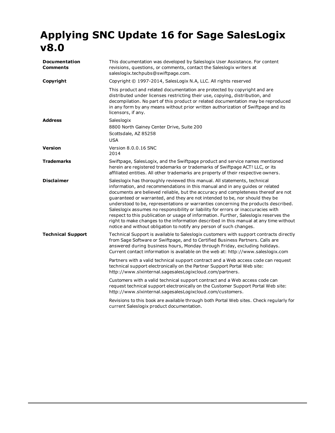# **Applying SNC Update 16 for Sage SalesLogix v8.0**

| <b>Documentation</b><br><b>Comments</b> | This documentation was developed by Saleslogix User Assistance. For content<br>revisions, questions, or comments, contact the Saleslogix writers at<br>saleslogix.techpubs@swiftpage.com.                                                                                                                                                                                                                                                                                                                                                                                                                                                                                                                                                                           |
|-----------------------------------------|---------------------------------------------------------------------------------------------------------------------------------------------------------------------------------------------------------------------------------------------------------------------------------------------------------------------------------------------------------------------------------------------------------------------------------------------------------------------------------------------------------------------------------------------------------------------------------------------------------------------------------------------------------------------------------------------------------------------------------------------------------------------|
| Copyright                               | Copyright © 1997-2014, SalesLogix N.A, LLC. All rights reserved                                                                                                                                                                                                                                                                                                                                                                                                                                                                                                                                                                                                                                                                                                     |
|                                         | This product and related documentation are protected by copyright and are<br>distributed under licenses restricting their use, copying, distribution, and<br>decompilation. No part of this product or related documentation may be reproduced<br>in any form by any means without prior written authorization of Swiftpage and its<br>licensors, if any.                                                                                                                                                                                                                                                                                                                                                                                                           |
| <b>Address</b>                          | Saleslogix<br>8800 North Gainey Center Drive, Suite 200<br>Scottsdale, AZ 85258<br><b>USA</b>                                                                                                                                                                                                                                                                                                                                                                                                                                                                                                                                                                                                                                                                       |
| <b>Version</b>                          | Version 8.0.0.16 SNC<br>2014                                                                                                                                                                                                                                                                                                                                                                                                                                                                                                                                                                                                                                                                                                                                        |
| <b>Trademarks</b>                       | Swiftpage, SalesLogix, and the Swiftpage product and service names mentioned<br>herein are registered trademarks or trademarks of Swiftpage ACT! LLC, or its<br>affiliated entities. All other trademarks are property of their respective owners.                                                                                                                                                                                                                                                                                                                                                                                                                                                                                                                  |
| <b>Disclaimer</b>                       | Saleslogix has thoroughly reviewed this manual. All statements, technical<br>information, and recommendations in this manual and in any quides or related<br>documents are believed reliable, but the accuracy and completeness thereof are not<br>guaranteed or warranted, and they are not intended to be, nor should they be<br>understood to be, representations or warranties concerning the products described.<br>Saleslogix assumes no responsibility or liability for errors or inaccuracies with<br>respect to this publication or usage of information. Further, Saleslogix reserves the<br>right to make changes to the information described in this manual at any time without<br>notice and without obligation to notify any person of such changes. |
| <b>Technical Support</b>                | Technical Support is available to Saleslogix customers with support contracts directly<br>from Sage Software or Swiftpage, and to Certified Business Partners. Calls are<br>answered during business hours, Monday through Friday, excluding holidays.<br>Current contact information is available on the web at: http://www.saleslogix.com                                                                                                                                                                                                                                                                                                                                                                                                                         |
|                                         | Partners with a valid technical support contract and a Web access code can request<br>technical support electronically on the Partner Support Portal Web site:<br>http://www.slxinternal.sagesalesLogixcloud.com/partners.                                                                                                                                                                                                                                                                                                                                                                                                                                                                                                                                          |
|                                         | Customers with a valid technical support contract and a Web access code can<br>request technical support electronically on the Customer Support Portal Web site:<br>http://www.slxinternal.sagesalesLogixcloud.com/customers.                                                                                                                                                                                                                                                                                                                                                                                                                                                                                                                                       |
|                                         | Revisions to this book are available through both Portal Web sites. Check regularly for<br>current Saleslogix product documentation.                                                                                                                                                                                                                                                                                                                                                                                                                                                                                                                                                                                                                                |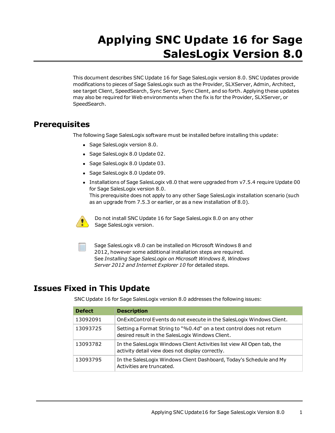# **Applying SNC Update 16 for Sage SalesLogix Version 8.0**

This document describes SNC Update 16 for Sage SalesLogix version 8.0. SNC Updates provide modifications to pieces of Sage SalesLogix such as the Provider, SLXServer, Admin, Architect, see target Client, SpeedSearch, Sync Server, Sync Client, and so forth. Applying these updates may also be required for Web environments when the fix is for the Provider, SLXServer, or SpeedSearch.

## **Prerequisites**

The following Sage SalesLogix software must be installed before installing this update:

- Sage SalesLogix version 8.0.
- Sage SalesLogix 8.0 Update 02.
- Sage SalesLogix 8.0 Update 03.
- Sage SalesLogix 8.0 Update 09.
- Installations of Sage SalesLogix v8.0 that were upgraded from v7.5.4 require Update 00 for Sage SalesLogix version 8.0. This prerequisite does not apply to any other Sage SalesLogix installation scenario (such as an upgrade from 7.5.3 or earlier, or as a new installation of 8.0).



Do not install SNC Update 16 for Sage SalesLogix 8.0 on any other Sage SalesLogix version.

Sage SalesLogix v8.0 can be installed on Microsoft Windows 8 and 2012, however some additional installation steps are required. See *Installing Sage SalesLogix on Microsoft Windows 8, Windows Server 2012 and Internet Explorer 10* for detailed steps.

# **Issues Fixed in This Update**

SNC Update 16 for Sage SalesLogix version 8.0 addresses the following issues:

| <b>Defect</b> | <b>Description</b>                                                                                                          |
|---------------|-----------------------------------------------------------------------------------------------------------------------------|
| 13092091      | On ExitControl Events do not execute in the SalesLogix Windows Client.                                                      |
| 13093725      | Setting a Format String to "%0.4d" on a text control does not return<br>desired result in the SalesLogix Windows Client.    |
| 13093782      | In the SalesLogix Windows Client Activities list view All Open tab, the<br>activity detail view does not display correctly. |
| 13093795      | In the SalesLogix Windows Client Dashboard, Today's Schedule and My<br>Activities are truncated.                            |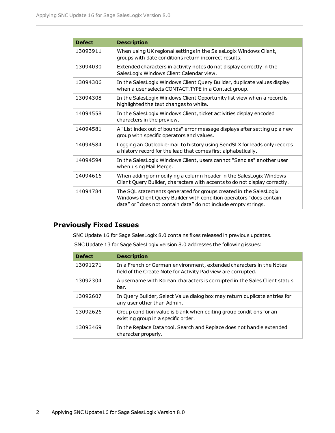| <b>Defect</b> | <b>Description</b>                                                                                                                                                                                         |
|---------------|------------------------------------------------------------------------------------------------------------------------------------------------------------------------------------------------------------|
| 13093911      | When using UK regional settings in the SalesLogix Windows Client,<br>groups with date conditions return incorrect results.                                                                                 |
| 13094030      | Extended characters in activity notes do not display correctly in the<br>SalesLogix Windows Client Calendar view.                                                                                          |
| 13094306      | In the SalesLogix Windows Client Query Builder, duplicate values display<br>when a user selects CONTACT. TYPE in a Contact group.                                                                          |
| 13094308      | In the SalesLogix Windows Client Opportunity list view when a record is<br>highlighted the text changes to white.                                                                                          |
| 14094558      | In the SalesLogix Windows Client, ticket activities display encoded<br>characters in the preview.                                                                                                          |
| 14094581      | A "List index out of bounds" error message displays after setting up a new<br>group with specific operators and values.                                                                                    |
| 14094584      | Logging an Outlook e-mail to history using SendSLX for leads only records<br>a history record for the lead that comes first alphabetically.                                                                |
| 14094594      | In the SalesLogix Windows Client, users cannot "Send as" another user<br>when using Mail Merge.                                                                                                            |
| 14094616      | When adding or modifying a column header in the SalesLogix Windows<br>Client Query Builder, characters with accents to do not display correctly.                                                           |
| 14094784      | The SQL statements generated for groups created in the SalesLogix<br>Windows Client Query Builder with condition operators "does contain<br>data" or "does not contain data" do not include empty strings. |

### **Previously Fixed Issues**

SNC Update 16 for Sage SalesLogix 8.0 contains fixes released in previous updates.

SNC Update 13 for Sage SalesLogix version 8.0 addresses the following issues:

| <b>Defect</b> | <b>Description</b>                                                                                                                   |
|---------------|--------------------------------------------------------------------------------------------------------------------------------------|
| 13091271      | In a French or German environment, extended characters in the Notes<br>field of the Create Note for Activity Pad view are corrupted. |
| 13092304      | A username with Korean characters is corrupted in the Sales Client status<br>bar.                                                    |
| 13092607      | In Query Builder, Select Value dialog box may return duplicate entries for<br>any user other than Admin.                             |
| 13092626      | Group condition value is blank when editing group conditions for an<br>existing group in a specific order.                           |
| 13093469      | In the Replace Data tool, Search and Replace does not handle extended<br>character properly.                                         |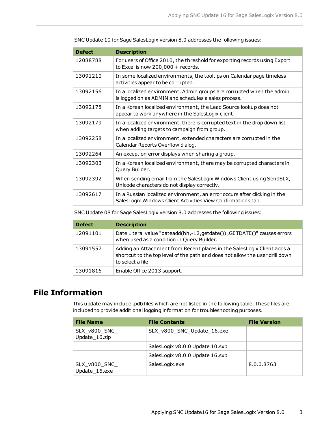| <b>Defect</b> | <b>Description</b>                                                                                                                        |
|---------------|-------------------------------------------------------------------------------------------------------------------------------------------|
| 12088788      | For users of Office 2010, the threshold for exporting records using Export<br>to Excel is now $200,000 +$ records.                        |
| 13091210      | In some localized environments, the tooltips on Calendar page timeless<br>activities appear to be corrupted.                              |
| 13092156      | In a localized environment, Admin groups are corrupted when the admin<br>is logged on as ADMIN and schedules a sales process.             |
| 13092178      | In a Korean localized environment, the Lead Source lookup does not<br>appear to work anywhere in the SalesLogix client.                   |
| 13092179      | In a localized environment, there is corrupted text in the drop down list<br>when adding targets to campaign from group.                  |
| 13092258      | In a localized environment, extended characters are corrupted in the<br>Calendar Reports Overflow dialog.                                 |
| 13092264      | An exception error displays when sharing a group.                                                                                         |
| 13092303      | In a Korean localized environment, there may be corrupted characters in<br>Query Builder.                                                 |
| 13092392      | When sending email from the SalesLogix Windows Client using SendSLX,<br>Unicode characters do not display correctly.                      |
| 13092617      | In a Russian localized environment, an error occurs after clicking in the<br>SalesLogix Windows Client Activities View Confirmations tab. |

SNC Update 10 for Sage SalesLogix version 8.0 addresses the following issues:

SNC Update 08 for Sage SalesLogix version 8.0 addresses the following issues:

| <b>Defect</b> | <b>Description</b>                                                                                                                                                          |
|---------------|-----------------------------------------------------------------------------------------------------------------------------------------------------------------------------|
| 12091101      | Date Literal value "dateadd(hh,-12, getdate()), GETDATE()" causes errors<br>when used as a condition in Query Builder.                                                      |
| 13091557      | Adding an Attachment from Recent places in the SalesLogix Client adds a<br>shortcut to the top level of the path and does not allow the user drill down<br>to select a file |
| 13091816      | Enable Office 2013 support.                                                                                                                                                 |

## **File Information**

This update may include .pdb files which are not listed in the following table. These files are included to provide additional logging information for troubleshooting purposes.

| <b>File Name</b>               | <b>File Contents</b>            | <b>File Version</b> |
|--------------------------------|---------------------------------|---------------------|
| SLX_v800_SNC_<br>Update_16.zip | SLX_v800_SNC_Update_16.exe      |                     |
|                                | SalesLogix v8.0.0 Update 10.sxb |                     |
|                                | SalesLogix v8.0.0 Update 16.sxb |                     |
| SLX_v800_SNC_<br>Update 16.exe | SalesLogix.exe                  | 8.0.0.8763          |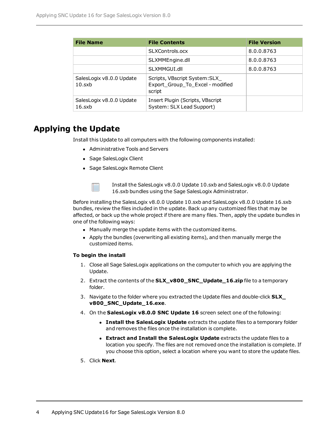| <b>File Name</b>                      | <b>File Contents</b>                                                         | <b>File Version</b> |
|---------------------------------------|------------------------------------------------------------------------------|---------------------|
|                                       | SLXControls.ocx                                                              | 8.0.0.8763          |
|                                       | SLXMMEngine.dll                                                              | 8.0.0.8763          |
|                                       | SLXMMGUI.dll                                                                 | 8.0.0.8763          |
| SalesLogix v8.0.0 Update<br>10.sxb    | Scripts, VBscript System: SLX_<br>Export_Group_To_Excel - modified<br>script |                     |
| SalesLogix v8.0.0 Update<br>$16$ .sxb | Insert Plugin (Scripts, VBscript<br>System: SLX Lead Support)                |                     |

# **Applying the Update**

Install this Update to all computers with the following components installed:

- Administrative Tools and Servers
- Sage SalesLogix Client
- Sage SalesLogix Remote Client



Install the SalesLogix v8.0.0 Update 10.sxb and SalesLogix v8.0.0 Update 16.sxb bundles using the Sage SalesLogix Administrator.

Before installing the SalesLogix v8.0.0 Update 10.sxb and SalesLogix v8.0.0 Update 16.sxb bundles, review the files included in the update. Back up any customized files that may be affected, or back up the whole project if there are many files. Then, apply the update bundles in one of the following ways:

- Manually merge the update items with the customized items.
- Apply the bundles (overwriting all existing items), and then manually merge the customized items.

#### **To begin the install**

- 1. Close all Sage SalesLogix applications on the computer to which you are applying the Update.
- 2. Extract the contents of the **SLX\_v800\_SNC\_Update\_16.zip** file to a temporary folder.
- 3. Navigate to the folder where you extracted the Update files and double-click **SLX\_ v800\_SNC\_Update\_16.exe**.
- 4. On the **SalesLogix v8.0.0 SNC Update 16** screen select one of the following:
	- **Install the SalesLogix Update** extracts the update files to a temporary folder and removes the files once the installation is complete.
	- <sup>l</sup> **Extract and Install the SalesLogix Update** extracts the update files to a location you specify. The files are not removed once the installation is complete. If you choose this option, select a location where you want to store the update files.
- 5. Click **Next**.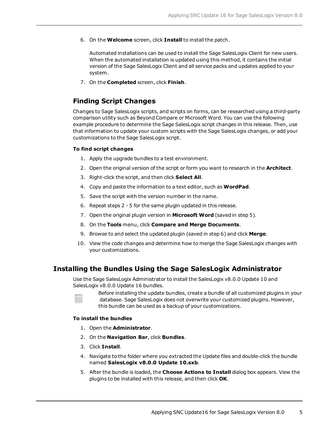6. On the **Welcome** screen, click **Install** to install the patch.

Automated installations can be used to install the Sage SalesLogix Client for new users. When the automated installation is updated using this method, it contains the initial version of the Sage SalesLogix Client and all service packs and updates applied to your system.

7. On the **Completed** screen, click **Finish**.

#### **Finding Script Changes**

Changes to Sage SalesLogix scripts, and scripts on forms, can be researched using a third-party comparison utility such as Beyond Compare or Microsoft Word. You can use the following example procedure to determine the Sage SalesLogix script changes in this release. Then, use that information to update your custom scripts with the Sage SalesLogix changes, or add your customizations to the Sage SalesLogix script.

#### **To find script changes**

- 1. Apply the upgrade bundles to a test environment.
- 2. Open the original version of the script or form you want to research in the **Architect**.
- 3. Right-click the script, and then click **Select All**.
- 4. Copy and paste the information to a text editor, such as **WordPad**.
- 5. Save the script with the version number in the name.
- 6. Repeat steps 2 5 for the same plugin updated in this release.
- 7. Open the original plugin version in **Microsoft Word** (saved in step 5).
- 8. On the **Tools** menu, click **Compare and Merge Documents**.
- 9. Browse to and select the updated plugin (saved in step 6) and click **Merge**.
- 10. View the code changes and determine how to merge the Sage SalesLogix changes with your customizations.

#### **Installing the Bundles Using the Sage SalesLogix Administrator**

Use the Sage SalesLogix Administrator to install the SalesLogix v8.0.0 Update 10 and SalesLogix v8.0.0 Update 16 bundles.



Before installing the update bundles, create a bundle of all customized plugins in your database. Sage SalesLogix does not overwrite your customized plugins. However, this bundle can be used as a backup of your customizations.

#### **To install the bundles**

- 1. Open the **Administrator**.
- 2. On the **Navigation Bar**, click **Bundles**.
- 3. Click **Install**.
- 4. Navigate to the folder where you extracted the Update files and double-click the bundle named **SalesLogix v8.0.0 Update 10.sxb**.
- 5. After the bundle is loaded, the **Choose Actions to Install** dialog box appears. View the plugins to be installed with this release, and then click **OK**.